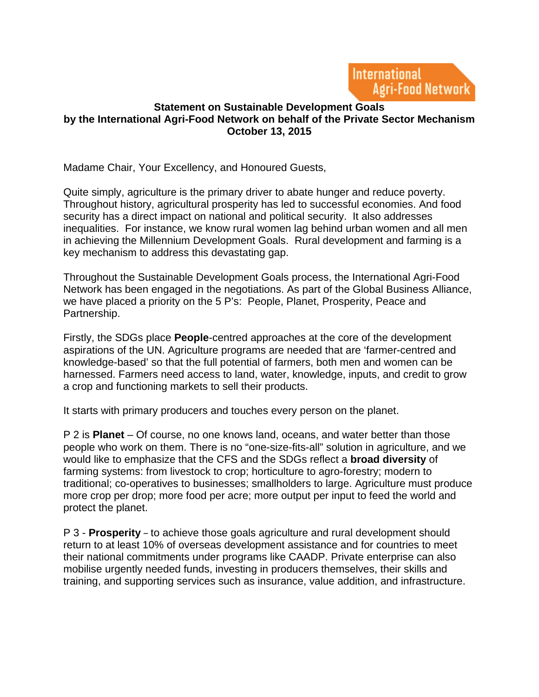

## **Statement on Sustainable Development Goals by the International Agri-Food Network on behalf of the Private Sector Mechanism October 13, 2015**

Madame Chair, Your Excellency, and Honoured Guests,

Quite simply, agriculture is the primary driver to abate hunger and reduce poverty. Throughout history, agricultural prosperity has led to successful economies. And food security has a direct impact on national and political security. It also addresses inequalities. For instance, we know rural women lag behind urban women and all men in achieving the Millennium Development Goals. Rural development and farming is a key mechanism to address this devastating gap.

Throughout the Sustainable Development Goals process, the International Agri-Food Network has been engaged in the negotiations. As part of the Global Business Alliance, we have placed a priority on the 5 P's: People, Planet, Prosperity, Peace and Partnership.

Firstly, the SDGs place **People**-centred approaches at the core of the development aspirations of the UN. Agriculture programs are needed that are 'farmer-centred and knowledge-based' so that the full potential of farmers, both men and women can be harnessed. Farmers need access to land, water, knowledge, inputs, and credit to grow a crop and functioning markets to sell their products.

It starts with primary producers and touches every person on the planet.

P 2 is **Planet** – Of course, no one knows land, oceans, and water better than those people who work on them. There is no "one-size-fits-all" solution in agriculture, and we would like to emphasize that the CFS and the SDGs reflect a **broad diversity** of farming systems: from livestock to crop; horticulture to agro-forestry; modern to traditional; co-operatives to businesses; smallholders to large. Agriculture must produce more crop per drop; more food per acre; more output per input to feed the world and protect the planet.

P 3 - **Prosperity** – to achieve those goals agriculture and rural development should return to at least 10% of overseas development assistance and for countries to meet their national commitments under programs like CAADP. Private enterprise can also mobilise urgently needed funds, investing in producers themselves, their skills and training, and supporting services such as insurance, value addition, and infrastructure.